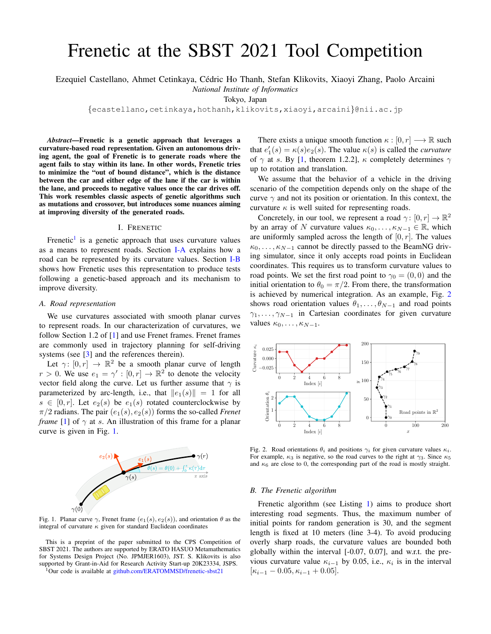# Frenetic at the SBST 2021 Tool Competition

Ezequiel Castellano, Ahmet Cetinkaya, Cedric Ho Thanh, Stefan Klikovits, Xiaoyi Zhang, Paolo Arcaini ´

*National Institute of Informatics*

Tokyo, Japan

{ecastellano,cetinkaya,hothanh,klikovits,xiaoyi,arcaini}@nii.ac.jp

*Abstract*—Frenetic is a genetic approach that leverages a curvature-based road representation. Given an autonomous driving agent, the goal of Frenetic is to generate roads where the agent fails to stay within its lane. In other words, Frenetic tries to minimize the "out of bound distance", which is the distance between the car and either edge of the lane if the car is within the lane, and proceeds to negative values once the car drives off. This work resembles classic aspects of genetic algorithms such as mutations and crossover, but introduces some nuances aiming at improving diversity of the generated roads.

### I. FRENETIC

Frenetic<sup>[1](#page-0-0)</sup> is a genetic approach that uses curvature values as a means to represent roads. Section [I-A](#page-0-1) explains how a road can be represented by its curvature values. Section [I-B](#page-0-2) shows how Frenetic uses this representation to produce tests following a genetic-based approach and its mechanism to improve diversity.

#### <span id="page-0-1"></span>*A. Road representation*

We use curvatures associated with smooth planar curves to represent roads. In our characterization of curvatures, we follow Section 1.2 of [\[1\]](#page-1-0) and use Frenet frames. Frenet frames are commonly used in trajectory planning for self-driving systems (see [\[3\]](#page-1-1) and the references therein).

Let  $\gamma: [0, r] \rightarrow \mathbb{R}^2$  be a smooth planar curve of length  $r > 0$ . We use  $e_1 = \gamma' : [0, r] \to \mathbb{R}^2$  to denote the velocity vector field along the curve. Let us further assume that  $\gamma$  is parameterized by arc-length, i.e., that  $||e_1(s)|| = 1$  for all  $s \in [0, r]$ . Let  $e_2(s)$  be  $e_1(s)$  rotated counterclockwise by  $\pi/2$  radians. The pair  $(e_1(s), e_2(s))$  forms the so-called *Frenet frame* [\[1\]](#page-1-0) of  $\gamma$  at s. An illustration of this frame for a planar curve is given in Fig. [1.](#page-0-3)



<span id="page-0-3"></span>Fig. 1. Planar curve  $\gamma$ , Frenet frame  $(e_1(s), e_2(s))$ , and orientation  $\theta$  as the integral of curvature  $\kappa$  given for standard Euclidean coordinates

This is a preprint of the paper submitted to the CPS Competition of SBST 2021. The authors are supported by ERATO HASUO Metamathematics for Systems Design Project (No. JPMJER1603), JST. S. Klikovits is also supported by Grant-in-Aid for Research Activity Start-up 20K23334, JSPS.

<span id="page-0-0"></span><sup>1</sup>Our code is available at [github.com/ERATOMMSD/frenetic-sbst21](https://github.com/ERATOMMSD/frenetic-sbst21)

There exists a unique smooth function  $\kappa : [0, r] \longrightarrow \mathbb{R}$  such that  $e'_1(s) = \kappa(s)e_2(s)$ . The value  $\kappa(s)$  is called the *curvature* of  $\gamma$  at s. By [\[1,](#page-1-0) theorem 1.2.2],  $\kappa$  completely determines  $\gamma$ up to rotation and translation.

We assume that the behavior of a vehicle in the driving scenario of the competition depends only on the shape of the curve  $\gamma$  and not its position or orientation. In this context, the curvature  $\kappa$  is well suited for representing roads.

Concretely, in our tool, we represent a road  $\gamma: [0, r] \to \mathbb{R}^2$ by an array of N curvature values  $\kappa_0, \ldots, \kappa_{N-1} \in \mathbb{R}$ , which are uniformly sampled across the length of  $[0, r]$ . The values  $\kappa_0, \ldots, \kappa_{N-1}$  cannot be directly passed to the BeamNG driving simulator, since it only accepts road points in Euclidean coordinates. This requires us to transform curvature values to road points. We set the first road point to  $\gamma_0 = (0, 0)$  and the initial orientation to  $\theta_0 = \pi/2$ . From there, the transformation is achieved by numerical integration. As an example, Fig. [2](#page-0-4) shows road orientation values  $\theta_1, \ldots, \theta_{N-1}$  and road points  $\gamma_1, \ldots, \gamma_{N-1}$  in Cartesian coordinates for given curvature values  $\kappa_0, \ldots, \kappa_{N-1}$ .



<span id="page-0-4"></span>Fig. 2. Road orientations  $\theta_i$  and positions  $\gamma_i$  for given curvature values  $\kappa_i$ . For example,  $\kappa_3$  is negative, so the road curves to the right at  $\gamma_3$ . Since  $\kappa_5$ and  $\kappa_6$  are close to 0, the corresponding part of the road is mostly straight.

## <span id="page-0-2"></span>*B. The Frenetic algorithm*

Frenetic algorithm (see Listing [1\)](#page-1-2) aims to produce short interesting road segments. Thus, the maximum number of initial points for random generation is 30, and the segment length is fixed at 10 meters (line 3-4). To avoid producing overly sharp roads, the curvature values are bounded both globally within the interval [-0.07, 0.07], and w.r.t. the previous curvature value  $\kappa_{i-1}$  by 0.05, i.e.,  $\kappa_i$  is in the interval  $[\kappa_{i-1} - 0.05, \kappa_{i-1} + 0.05].$